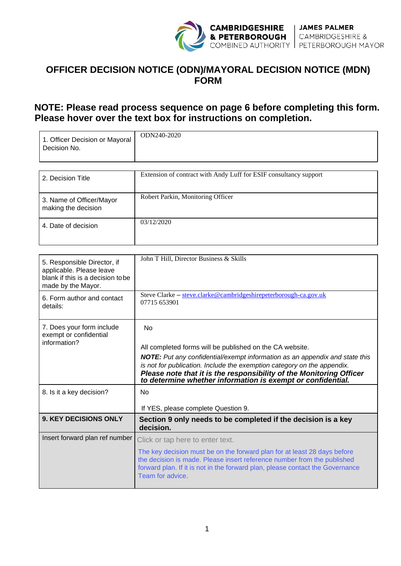

## **OFFICER DECISION NOTICE (ODN)/MAYORAL DECISION NOTICE (MDN) FORM**

## **NOTE: Please read process sequence on page 6 before completing this form. Please hover over the text box for instructions on completion.**

| 1. Officer Decision or Mayoral<br>Decision No. | ODN240-2020 |
|------------------------------------------------|-------------|
|                                                | $-$<br>.    |

| 2. Decision Title                               | Extension of contract with Andy Luff for ESIF consultancy support |
|-------------------------------------------------|-------------------------------------------------------------------|
| 3. Name of Officer/Mayor<br>making the decision | Robert Parkin, Monitoring Officer                                 |
| 4. Date of decision                             | 03/12/2020                                                        |

| 5. Responsible Director, if<br>applicable. Please leave<br>blank if this is a decision to be<br>made by the Mayor. | John T Hill, Director Business & Skills                                                                                                                                                                                                                                                                                                                               |
|--------------------------------------------------------------------------------------------------------------------|-----------------------------------------------------------------------------------------------------------------------------------------------------------------------------------------------------------------------------------------------------------------------------------------------------------------------------------------------------------------------|
| 6. Form author and contact<br>details:                                                                             | Steve Clarke - steve.clarke@cambridgeshirepeterborough-ca.gov.uk<br>07715 653901                                                                                                                                                                                                                                                                                      |
| 7. Does your form include<br>exempt or confidential<br>information?                                                | No<br>All completed forms will be published on the CA website.<br><b>NOTE:</b> Put any confidential/exempt information as an appendix and state this<br>is not for publication. Include the exemption category on the appendix.<br>Please note that it is the responsibility of the Monitoring Officer<br>to determine whether information is exempt or confidential. |
| 8. Is it a key decision?                                                                                           | No                                                                                                                                                                                                                                                                                                                                                                    |
|                                                                                                                    | If YES, please complete Question 9.                                                                                                                                                                                                                                                                                                                                   |
| <b>9. KEY DECISIONS ONLY</b>                                                                                       | Section 9 only needs to be completed if the decision is a key<br>decision.                                                                                                                                                                                                                                                                                            |
| Insert forward plan ref number                                                                                     | Click or tap here to enter text.                                                                                                                                                                                                                                                                                                                                      |
|                                                                                                                    | The key decision must be on the forward plan for at least 28 days before<br>the decision is made. Please insert reference number from the published<br>forward plan. If it is not in the forward plan, please contact the Governance<br>Team for advice.                                                                                                              |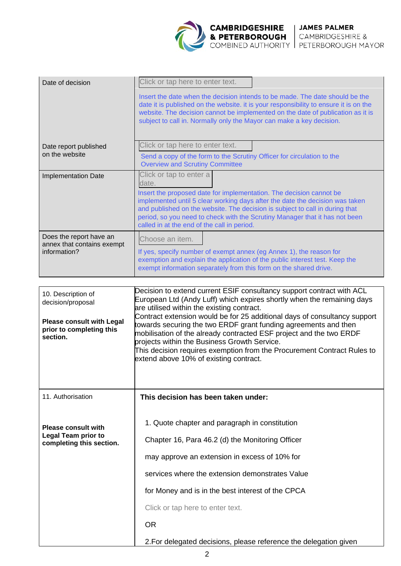

**CAMBRIDGESHIRE &** 

| Date of decision                                                         | Click or tap here to enter text.                                                                                                                                                                                                                                                                                                                                                         |  |  |  |  |  |
|--------------------------------------------------------------------------|------------------------------------------------------------------------------------------------------------------------------------------------------------------------------------------------------------------------------------------------------------------------------------------------------------------------------------------------------------------------------------------|--|--|--|--|--|
|                                                                          | Insert the date when the decision intends to be made. The date should be the                                                                                                                                                                                                                                                                                                             |  |  |  |  |  |
|                                                                          | date it is published on the website. it is your responsibility to ensure it is on the<br>website. The decision cannot be implemented on the date of publication as it is                                                                                                                                                                                                                 |  |  |  |  |  |
|                                                                          | subject to call in. Normally only the Mayor can make a key decision.                                                                                                                                                                                                                                                                                                                     |  |  |  |  |  |
|                                                                          |                                                                                                                                                                                                                                                                                                                                                                                          |  |  |  |  |  |
| Date report published                                                    | Click or tap here to enter text.                                                                                                                                                                                                                                                                                                                                                         |  |  |  |  |  |
| on the website                                                           | Send a copy of the form to the Scrutiny Officer for circulation to the<br><b>Overview and Scrutiny Committee</b>                                                                                                                                                                                                                                                                         |  |  |  |  |  |
| <b>Implementation Date</b>                                               | Click or tap to enter a<br>date.                                                                                                                                                                                                                                                                                                                                                         |  |  |  |  |  |
|                                                                          | Insert the proposed date for implementation. The decision cannot be<br>implemented until 5 clear working days after the date the decision was taken<br>and published on the website. The decision is subject to call in during that<br>period, so you need to check with the Scrutiny Manager that it has not been<br>called in at the end of the call in period.                        |  |  |  |  |  |
| Does the report have an                                                  | Choose an item.                                                                                                                                                                                                                                                                                                                                                                          |  |  |  |  |  |
| annex that contains exempt<br>information?                               | If yes, specify number of exempt annex (eg Annex 1), the reason for                                                                                                                                                                                                                                                                                                                      |  |  |  |  |  |
|                                                                          | exemption and explain the application of the public interest test. Keep the<br>exempt information separately from this form on the shared drive.                                                                                                                                                                                                                                         |  |  |  |  |  |
|                                                                          |                                                                                                                                                                                                                                                                                                                                                                                          |  |  |  |  |  |
| 10. Description of                                                       | Decision to extend current ESIF consultancy support contract with ACL                                                                                                                                                                                                                                                                                                                    |  |  |  |  |  |
| decision/proposal                                                        | European Ltd (Andy Luff) which expires shortly when the remaining days<br>are utilised within the existing contract.                                                                                                                                                                                                                                                                     |  |  |  |  |  |
| <b>Please consult with Legal</b><br>prior to completing this<br>section. | Contract extension would be for 25 additional days of consultancy support<br>towards securing the two ERDF grant funding agreements and then<br>mobilisation of the already contracted ESF project and the two ERDF<br>projects within the Business Growth Service.<br>This decision requires exemption from the Procurement Contract Rules to<br>extend above 10% of existing contract. |  |  |  |  |  |
| 11. Authorisation                                                        | This decision has been taken under:                                                                                                                                                                                                                                                                                                                                                      |  |  |  |  |  |
|                                                                          |                                                                                                                                                                                                                                                                                                                                                                                          |  |  |  |  |  |
| <b>Please consult with</b>                                               | 1. Quote chapter and paragraph in constitution                                                                                                                                                                                                                                                                                                                                           |  |  |  |  |  |

Chapter 16, Para 46.2 (d) the Monitoring Officer

may approve an extension in excess of 10% for

services where the extension demonstrates Value

for Money and is in the best interest of the CPCA

Click or tap here to enter text.

OR

**Legal Team prior to completing this section.**

2.For delegated decisions, please reference the delegation given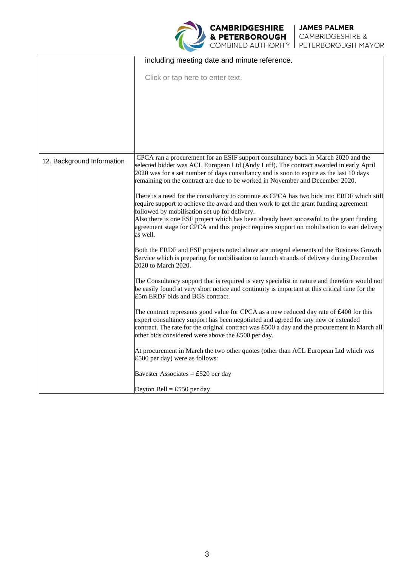|                            | including meeting date and minute reference.                                                                                                                                                                                                                                                                                                                                                                                      |  |  |  |
|----------------------------|-----------------------------------------------------------------------------------------------------------------------------------------------------------------------------------------------------------------------------------------------------------------------------------------------------------------------------------------------------------------------------------------------------------------------------------|--|--|--|
|                            | Click or tap here to enter text.                                                                                                                                                                                                                                                                                                                                                                                                  |  |  |  |
|                            |                                                                                                                                                                                                                                                                                                                                                                                                                                   |  |  |  |
|                            |                                                                                                                                                                                                                                                                                                                                                                                                                                   |  |  |  |
|                            |                                                                                                                                                                                                                                                                                                                                                                                                                                   |  |  |  |
|                            |                                                                                                                                                                                                                                                                                                                                                                                                                                   |  |  |  |
|                            |                                                                                                                                                                                                                                                                                                                                                                                                                                   |  |  |  |
| 12. Background Information | CPCA ran a procurement for an ESIF support consultancy back in March 2020 and the<br>selected bidder was ACL European Ltd (Andy Luff). The contract awarded in early April<br>2020 was for a set number of days consultancy and is soon to expire as the last 10 days<br>remaining on the contract are due to be worked in November and December 2020.                                                                            |  |  |  |
|                            | There is a need for the consultancy to continue as CPCA has two bids into ERDF which still<br>require support to achieve the award and then work to get the grant funding agreement<br>followed by mobilisation set up for delivery.<br>Also there is one ESF project which has been already been successful to the grant funding<br>agreement stage for CPCA and this project requires support on mobilisation to start delivery |  |  |  |
|                            | as well.                                                                                                                                                                                                                                                                                                                                                                                                                          |  |  |  |
|                            | Both the ERDF and ESF projects noted above are integral elements of the Business Growth<br>Service which is preparing for mobilisation to launch strands of delivery during December<br>2020 to March 2020.                                                                                                                                                                                                                       |  |  |  |
|                            | The Consultancy support that is required is very specialist in nature and therefore would not<br>be easily found at very short notice and continuity is important at this critical time for the<br>£5m ERDF bids and BGS contract.                                                                                                                                                                                                |  |  |  |
|                            | The contract represents good value for CPCA as a new reduced day rate of $\text{\pounds}400$ for this<br>expert consultancy support has been negotiated and agreed for any new or extended<br>contract. The rate for the original contract was £500 a day and the procurement in March all<br>other bids considered were above the £500 per day.                                                                                  |  |  |  |
|                            | At procurement in March the two other quotes (other than ACL European Ltd which was<br>£500 per day) were as follows:                                                                                                                                                                                                                                                                                                             |  |  |  |
|                            | Bavester Associates = £520 per day                                                                                                                                                                                                                                                                                                                                                                                                |  |  |  |
|                            | Deyton Bell = £550 per day                                                                                                                                                                                                                                                                                                                                                                                                        |  |  |  |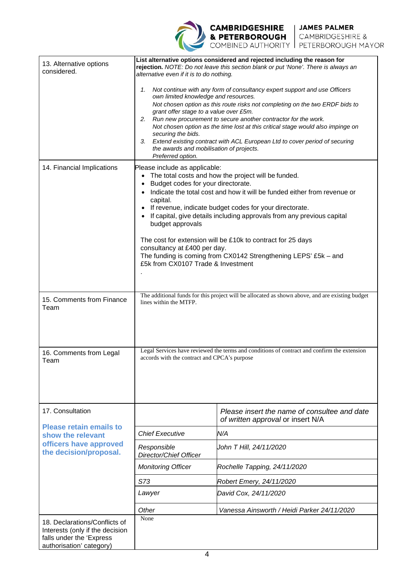**CAMBRIDGESHIRE** JAMES PALMER<br> **& PETERBOROUGH** CAMBRIDGESHIRE &<br>
COMBINED AUTHORITY PETERBOROUGH MAYOR



| 13. Alternative options<br>considered.                                                                                   | List alternative options considered and rejected including the reason for<br>rejection. NOTE: Do not leave this section blank or put 'None'. There is always an<br>alternative even if it is to do nothing. |                                                                                             |  |  |  |
|--------------------------------------------------------------------------------------------------------------------------|-------------------------------------------------------------------------------------------------------------------------------------------------------------------------------------------------------------|---------------------------------------------------------------------------------------------|--|--|--|
|                                                                                                                          | Not continue with any form of consultancy expert support and use Officers<br>1.<br>own limited knowledge and resources.                                                                                     |                                                                                             |  |  |  |
|                                                                                                                          | Not chosen option as this route risks not completing on the two ERDF bids to<br>grant offer stage to a value over £5m.                                                                                      |                                                                                             |  |  |  |
|                                                                                                                          | 2. Run new procurement to secure another contractor for the work.<br>Not chosen option as the time lost at this critical stage would also impinge on<br>securing the bids.                                  |                                                                                             |  |  |  |
|                                                                                                                          | 3. Extend existing contract with ACL European Ltd to cover period of securing<br>the awards and mobilisation of projects.<br>Preferred option.                                                              |                                                                                             |  |  |  |
| 14. Financial Implications                                                                                               | Please include as applicable:<br>The total costs and how the project will be funded.<br>$\bullet$<br>Budget codes for your directorate.                                                                     |                                                                                             |  |  |  |
|                                                                                                                          | Indicate the total cost and how it will be funded either from revenue or<br>capital.                                                                                                                        |                                                                                             |  |  |  |
|                                                                                                                          |                                                                                                                                                                                                             | If revenue, indicate budget codes for your directorate.                                     |  |  |  |
|                                                                                                                          | budget approvals                                                                                                                                                                                            | If capital, give details including approvals from any previous capital                      |  |  |  |
|                                                                                                                          | The cost for extension will be £10k to contract for 25 days                                                                                                                                                 |                                                                                             |  |  |  |
|                                                                                                                          | consultancy at £400 per day.<br>The funding is coming from CX0142 Strengthening LEPS' £5k - and<br>£5k from CX0107 Trade & Investment                                                                       |                                                                                             |  |  |  |
|                                                                                                                          |                                                                                                                                                                                                             |                                                                                             |  |  |  |
|                                                                                                                          |                                                                                                                                                                                                             |                                                                                             |  |  |  |
|                                                                                                                          |                                                                                                                                                                                                             |                                                                                             |  |  |  |
| 15. Comments from Finance<br>Team                                                                                        | The additional funds for this project will be allocated as shown above, and are existing budget<br>lines within the MTFP.                                                                                   |                                                                                             |  |  |  |
|                                                                                                                          |                                                                                                                                                                                                             |                                                                                             |  |  |  |
| 16. Comments from Legal<br>Team                                                                                          | accords with the contract and CPCA's purpose                                                                                                                                                                | Legal Services have reviewed the terms and conditions of contract and confirm the extension |  |  |  |
|                                                                                                                          |                                                                                                                                                                                                             |                                                                                             |  |  |  |
|                                                                                                                          |                                                                                                                                                                                                             |                                                                                             |  |  |  |
| 17. Consultation                                                                                                         |                                                                                                                                                                                                             | Please insert the name of consultee and date<br>of written approval or insert N/A           |  |  |  |
| <b>Please retain emails to</b><br>show the relevant                                                                      | <b>Chief Executive</b>                                                                                                                                                                                      | N/A                                                                                         |  |  |  |
| officers have approved<br>the decision/proposal.                                                                         | Responsible<br>Director/Chief Officer                                                                                                                                                                       | John T Hill, 24/11/2020                                                                     |  |  |  |
|                                                                                                                          | <b>Monitoring Officer</b>                                                                                                                                                                                   | Rochelle Tapping, 24/11/2020                                                                |  |  |  |
|                                                                                                                          | S73                                                                                                                                                                                                         | Robert Emery, 24/11/2020                                                                    |  |  |  |
|                                                                                                                          | Lawyer                                                                                                                                                                                                      | David Cox, 24/11/2020                                                                       |  |  |  |
|                                                                                                                          | Other                                                                                                                                                                                                       | Vanessa Ainsworth / Heidi Parker 24/11/2020                                                 |  |  |  |
| 18. Declarations/Conflicts of<br>Interests (only if the decision<br>falls under the 'Express<br>authorisation' category) | None                                                                                                                                                                                                        |                                                                                             |  |  |  |